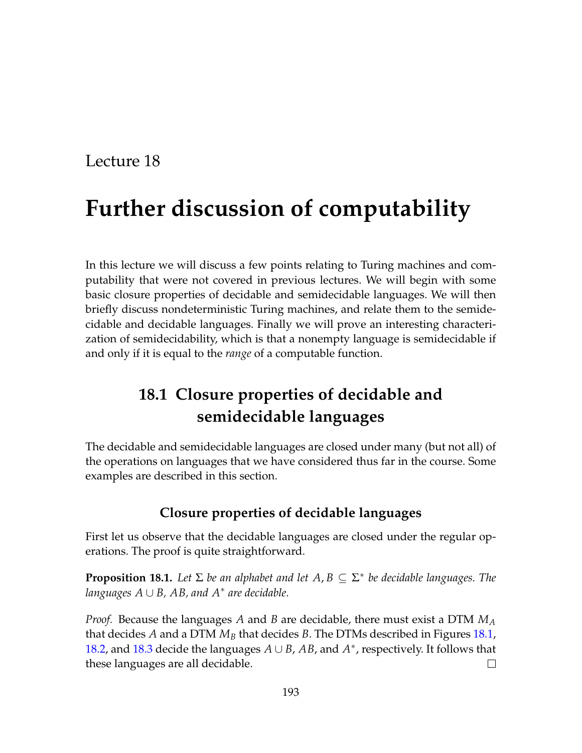# Lecture 18

# **Further discussion of computability**

In this lecture we will discuss a few points relating to Turing machines and computability that were not covered in previous lectures. We will begin with some basic closure properties of decidable and semidecidable languages. We will then briefly discuss nondeterministic Turing machines, and relate them to the semidecidable and decidable languages. Finally we will prove an interesting characterization of semidecidability, which is that a nonempty language is semidecidable if and only if it is equal to the *range* of a computable function.

# **18.1 Closure properties of decidable and semidecidable languages**

The decidable and semidecidable languages are closed under many (but not all) of the operations on languages that we have considered thus far in the course. Some examples are described in this section.

# **Closure properties of decidable languages**

First let us observe that the decidable languages are closed under the regular operations. The proof is quite straightforward.

**Proposition 18.1.** *Let* Σ *be an alphabet and let A*, *B* ⊆ Σ ∗ *be decidable languages. The languages A* ∪ *B, AB, and A*<sup>∗</sup> *are decidable.*

*Proof.* Because the languages *A* and *B* are decidable, there must exist a DTM *M<sup>A</sup>* that decides *A* and a DTM *M<sup>B</sup>* that decides *B*. The DTMs described in Figures [18.1,](#page-1-0) [18.2,](#page-1-1) and [18.3](#page-1-2) decide the languages *A* ∪ *B*, *AB*, and *A* ∗ , respectively. It follows that these languages are all decidable.  $\Box$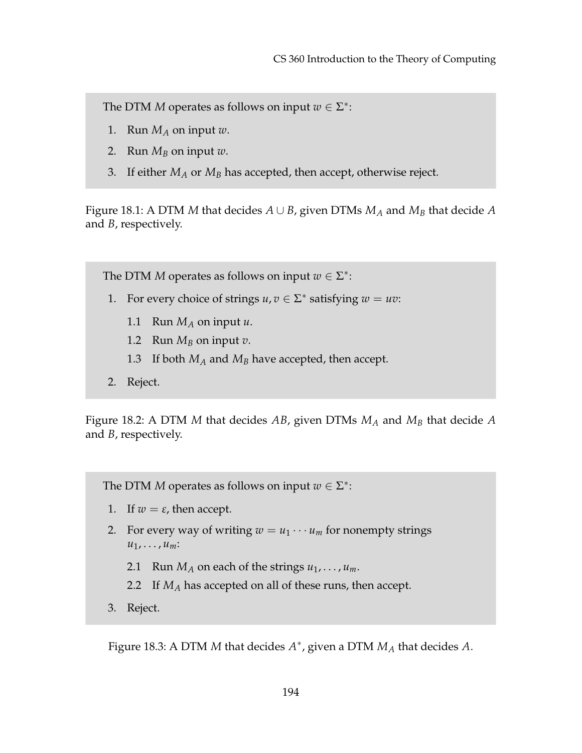- 1. Run  $M_A$  on input w.
- 2. Run  $M_B$  on input  $w$ .
- <span id="page-1-0"></span>3. If either *M<sup>A</sup>* or *M<sup>B</sup>* has accepted, then accept, otherwise reject.

Figure 18.1: A DTM *M* that decides *A* ∪ *B*, given DTMs *M<sup>A</sup>* and *M<sup>B</sup>* that decide *A* and *B*, respectively.

The DTM *M* operates as follows on input  $w \in \Sigma^*$ :

- 1. For every choice of strings  $u, v \in \Sigma^*$  satisfying  $w = uv$ :
	- 1.1 Run  $M_A$  on input  $u$ .
	- 1.2 Run  $M_B$  on input  $v$ .
	- 1.3 If both *M<sup>A</sup>* and *M<sup>B</sup>* have accepted, then accept.
- <span id="page-1-1"></span>2. Reject.

Figure 18.2: A DTM *M* that decides *AB*, given DTMs *M<sup>A</sup>* and *M<sup>B</sup>* that decide *A* and *B*, respectively.

The DTM *M* operates as follows on input  $w \in \Sigma^*$ :

- 1. If  $w = \varepsilon$ , then accept.
- 2. For every way of writing  $w = u_1 \cdots u_m$  for nonempty strings *u*1, . . . , *um*:
	- 2.1 Run  $M_A$  on each of the strings  $u_1, \ldots, u_m$ .
	- 2.2 If *M<sup>A</sup>* has accepted on all of these runs, then accept.
- 3. Reject.

<span id="page-1-2"></span>Figure 18.3: A DTM *M* that decides *A* ∗ , given a DTM *M<sup>A</sup>* that decides *A*.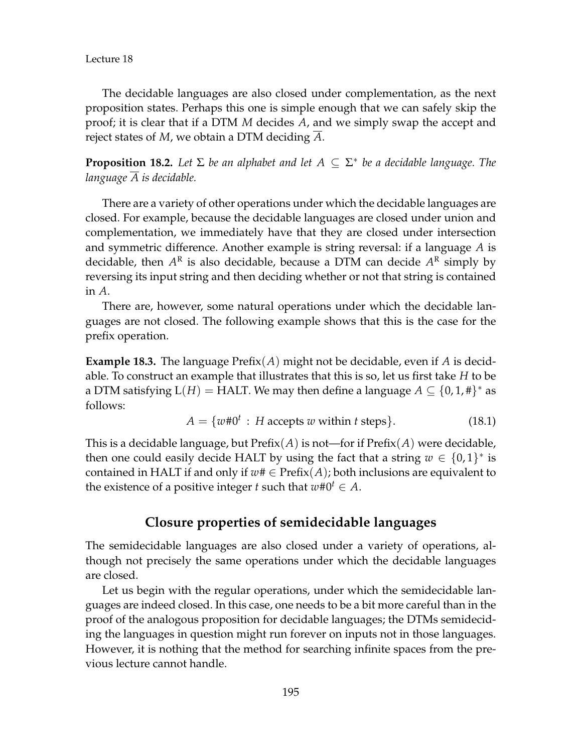Lecture 18

The decidable languages are also closed under complementation, as the next proposition states. Perhaps this one is simple enough that we can safely skip the proof; it is clear that if a DTM *M* decides *A*, and we simply swap the accept and reject states of *M*, we obtain a DTM deciding *A*.

**Proposition 18.2.** *Let* Σ *be an alphabet and let A* ⊆ Σ ∗ *be a decidable language. The language A is decidable.*

There are a variety of other operations under which the decidable languages are closed. For example, because the decidable languages are closed under union and complementation, we immediately have that they are closed under intersection and symmetric difference. Another example is string reversal: if a language *A* is decidable, then  $A^{\rm R}$  is also decidable, because a DTM can decide  $A^{\rm R}$  simply by reversing its input string and then deciding whether or not that string is contained in *A*.

There are, however, some natural operations under which the decidable languages are not closed. The following example shows that this is the case for the prefix operation.

**Example 18.3.** The language  $\text{Prefix}(A)$  might not be decidable, even if A is decidable. To construct an example that illustrates that this is so, let us first take *H* to be a DTM satisfying  $L(H) = HALT$ . We may then define a language  $A \subseteq \{0, 1, \text{\#}\}^*$  as follows:

$$
A = \{w \# 0^t : H accepts w \text{ within } t \text{ steps}\}. \tag{18.1}
$$

This is a decidable language, but Prefix(*A*) is not—for if Prefix(*A*) were decidable, then one could easily decide HALT by using the fact that a string  $w \in \{0,1\}^*$  is contained in HALT if and only if  $w# \in Prefix(A)$ ; both inclusions are equivalent to the existence of a positive integer *t* such that  $w\#0^t \in A$ .

#### **Closure properties of semidecidable languages**

The semidecidable languages are also closed under a variety of operations, although not precisely the same operations under which the decidable languages are closed.

Let us begin with the regular operations, under which the semidecidable languages are indeed closed. In this case, one needs to be a bit more careful than in the proof of the analogous proposition for decidable languages; the DTMs semideciding the languages in question might run forever on inputs not in those languages. However, it is nothing that the method for searching infinite spaces from the previous lecture cannot handle.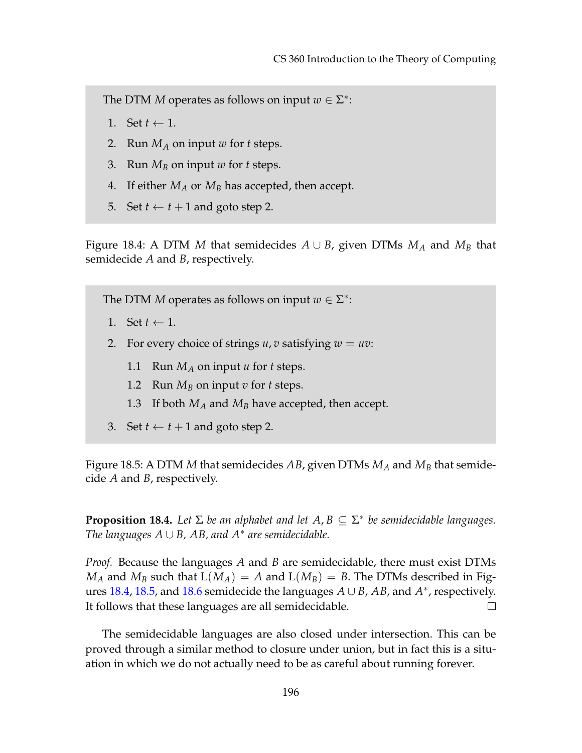- 1. Set  $t \leftarrow 1$ .
- 2. Run *M<sup>A</sup>* on input *w* for *t* steps.
- 3. Run *M<sup>B</sup>* on input *w* for *t* steps.
- 4. If either *M<sup>A</sup>* or *M<sup>B</sup>* has accepted, then accept.
- <span id="page-3-0"></span>5. Set  $t \leftarrow t + 1$  and goto step 2.

Figure 18.4: A DTM *M* that semidecides  $A \cup B$ , given DTMs  $M_A$  and  $M_B$  that semidecide *A* and *B*, respectively.

The DTM *M* operates as follows on input  $w \in \Sigma^*$ :

- 1. Set  $t \leftarrow 1$ .
- 2. For every choice of strings  $u, v$  satisfying  $w = uv$ :
	- 1.1 Run *M<sup>A</sup>* on input *u* for *t* steps.
	- 1.2 Run  $M_B$  on input *v* for *t* steps.
	- 1.3 If both  $M_A$  and  $M_B$  have accepted, then accept.
- <span id="page-3-1"></span>3. Set  $t \leftarrow t + 1$  and goto step 2.

Figure 18.5: A DTM *M* that semidecides *AB*, given DTMs *M<sup>A</sup>* and *M<sup>B</sup>* that semidecide *A* and *B*, respectively.

**Proposition 18.4.** Let  $\Sigma$  be an alphabet and let  $A, B \subseteq \Sigma^*$  be semidecidable languages. *The languages A* ∪ *B, AB, and A*<sup>∗</sup> *are semidecidable.*

*Proof.* Because the languages *A* and *B* are semidecidable, there must exist DTMs  $M_A$  and  $M_B$  such that  $L(M_A) = A$  and  $L(M_B) = B$ . The DTMs described in Figures [18.4,](#page-3-0) [18.5,](#page-3-1) and [18.6](#page-4-0) semidecide the languages *A* ∪ *B*, *AB*, and *A* ∗ , respectively. It follows that these languages are all semidecidable.  $\Box$ 

The semidecidable languages are also closed under intersection. This can be proved through a similar method to closure under union, but in fact this is a situation in which we do not actually need to be as careful about running forever.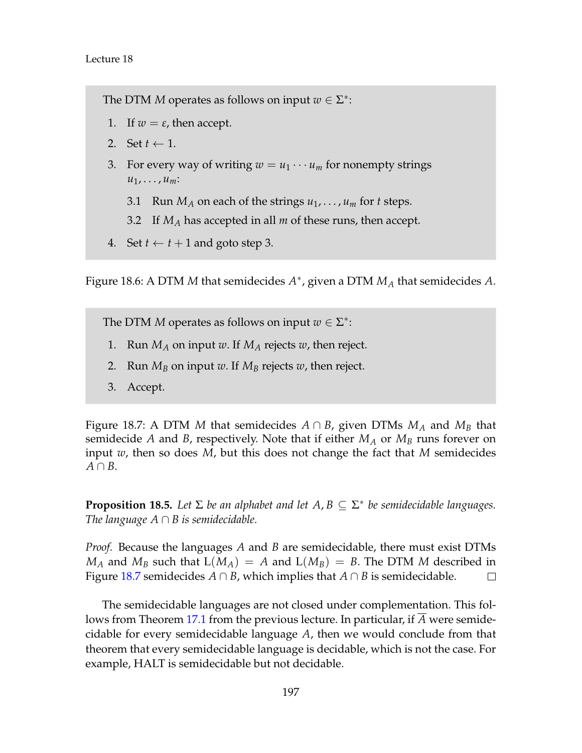- 1. If  $w = \varepsilon$ , then accept.
- 2. Set  $t \leftarrow 1$ .
- 3. For every way of writing  $w = u_1 \cdots u_m$  for nonempty strings  $u_1, \ldots, u_m$ :
	- 3.1 Run  $M_A$  on each of the strings  $u_1, \ldots, u_m$  for *t* steps.
	- 3.2 If *M<sup>A</sup>* has accepted in all *m* of these runs, then accept.
- <span id="page-4-0"></span>4. Set  $t \leftarrow t + 1$  and goto step 3.

Figure 18.6: A DTM *M* that semidecides *A* ∗ , given a DTM *M<sup>A</sup>* that semidecides *A*.

The DTM *M* operates as follows on input  $w \in \Sigma^*$ :

- 1. Run  $M_A$  on input *w*. If  $M_A$  rejects *w*, then reject.
- 2. Run  $M_B$  on input *w*. If  $M_B$  rejects *w*, then reject.
- <span id="page-4-1"></span>3. Accept.

Figure 18.7: A DTM *M* that semidecides  $A \cap B$ , given DTMs  $M_A$  and  $M_B$  that semidecide *A* and *B*, respectively. Note that if either  $M_A$  or  $M_B$  runs forever on input *w*, then so does *M*, but this does not change the fact that *M* semidecides *A* ∩ *B*.

**Proposition 18.5.** *Let* Σ *be an alphabet and let A*, *B* ⊆ Σ ∗ *be semidecidable languages. The language A* ∩ *B is semidecidable.*

*Proof.* Because the languages *A* and *B* are semidecidable, there must exist DTMs  $M_A$  and  $M_B$  such that  $L(M_A) = A$  and  $L(M_B) = B$ . The DTM *M* described in Figure [18.7](#page-4-1) semidecides  $A \cap B$ , which implies that  $A \cap B$  is semidecidable.  $\Box$ 

The semidecidable languages are not closed under complementation. This follows from Theorem [17.1](#page--1-0) from the previous lecture. In particular, if *A* were semidecidable for every semidecidable language *A*, then we would conclude from that theorem that every semidecidable language is decidable, which is not the case. For example, HALT is semidecidable but not decidable.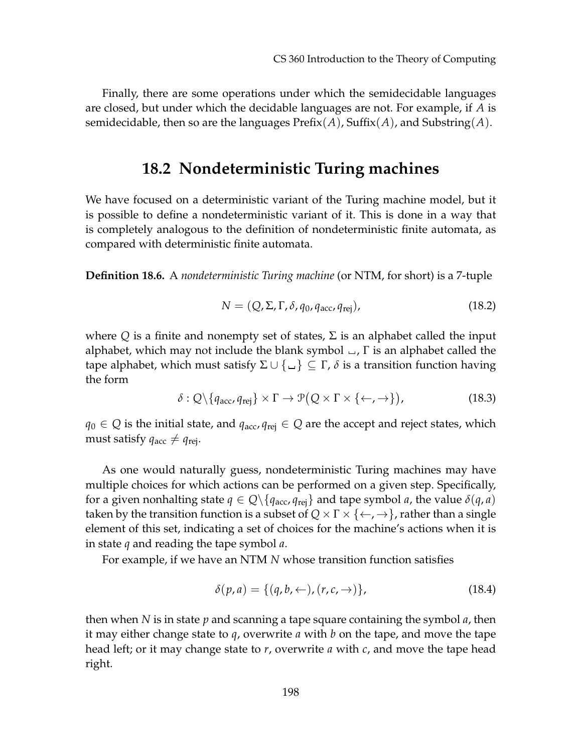Finally, there are some operations under which the semidecidable languages are closed, but under which the decidable languages are not. For example, if *A* is semidecidable, then so are the languages Prefix(*A*), Suffix(*A*), and Substring(*A*).

## **18.2 Nondeterministic Turing machines**

We have focused on a deterministic variant of the Turing machine model, but it is possible to define a nondeterministic variant of it. This is done in a way that is completely analogous to the definition of nondeterministic finite automata, as compared with deterministic finite automata.

**Definition 18.6.** A *nondeterministic Turing machine* (or NTM, for short) is a 7-tuple

$$
N = (Q, \Sigma, \Gamma, \delta, q_0, q_{\text{acc}}, q_{\text{rej}}), \qquad (18.2)
$$

where  $Q$  is a finite and nonempty set of states,  $\Sigma$  is an alphabet called the input alphabet, which may not include the blank symbol  $\Box$ , Γ is an alphabet called the tape alphabet, which must satisfy  $\Sigma \cup \{\Box\} \subseteq \Gamma$ ,  $\delta$  is a transition function having the form

$$
\delta: Q \setminus \{q_{\text{acc}}, q_{\text{rej}}\} \times \Gamma \to \mathcal{P}(Q \times \Gamma \times \{\leftarrow, \rightarrow\}), \tag{18.3}
$$

 $q_0$  ∈ *Q* is the initial state, and  $q_{\text{acc}}$ ,  $q_{\text{rei}}$  ∈ *Q* are the accept and reject states, which must satisfy  $q_{\text{acc}} \neq q_{\text{rej}}$ .

As one would naturally guess, nondeterministic Turing machines may have multiple choices for which actions can be performed on a given step. Specifically, for a given nonhalting state  $q \in Q \setminus \{q_{\text{acc}}, q_{\text{rei}}\}$  and tape symbol *a*, the value  $\delta(q, a)$ taken by the transition function is a subset of  $Q \times \Gamma \times \{\leftarrow, \rightarrow\}$ , rather than a single element of this set, indicating a set of choices for the machine's actions when it is in state *q* and reading the tape symbol *a*.

For example, if we have an NTM *N* whose transition function satisfies

$$
\delta(p, a) = \{ (q, b, \leftarrow), (r, c, \rightarrow) \},\tag{18.4}
$$

then when *N* is in state *p* and scanning a tape square containing the symbol *a*, then it may either change state to *q*, overwrite *a* with *b* on the tape, and move the tape head left; or it may change state to *r*, overwrite *a* with *c*, and move the tape head right.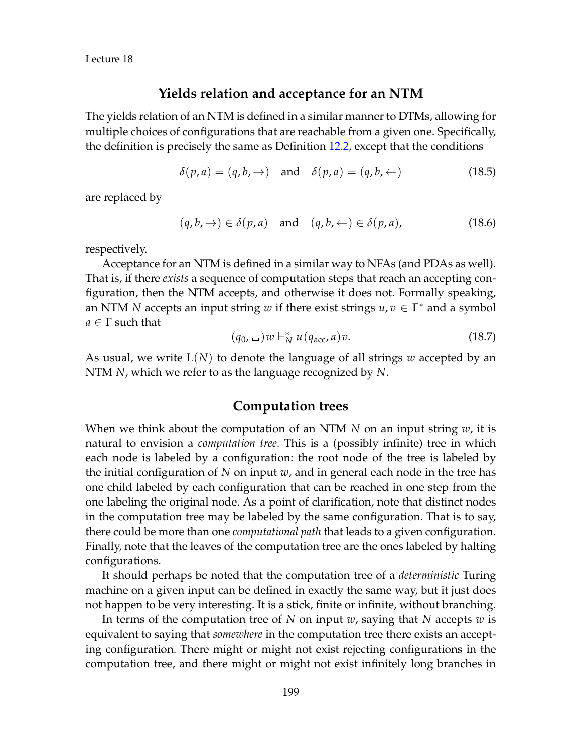Lecture 18

#### **Yields relation and acceptance for an NTM**

The yields relation of an NTM is defined in a similar manner to DTMs, allowing for multiple choices of configurations that are reachable from a given one. Specifically, the definition is precisely the same as Definition [12.2,](#page--1-1) except that the conditions

$$
\delta(p, a) = (q, b, \rightarrow) \quad \text{and} \quad \delta(p, a) = (q, b, \leftarrow) \tag{18.5}
$$

are replaced by

$$
(q, b, \rightarrow) \in \delta(p, a) \quad \text{and} \quad (q, b, \leftarrow) \in \delta(p, a), \tag{18.6}
$$

respectively.

Acceptance for an NTM is defined in a similar way to NFAs (and PDAs as well). That is, if there *exists* a sequence of computation steps that reach an accepting configuration, then the NTM accepts, and otherwise it does not. Formally speaking, an NTM *N* accepts an input string *w* if there exist strings  $u, v \in \Gamma^*$  and a symbol *a* ∈ Γ such that

$$
(q_0, \, \underline{\hspace{1cm}}) w \vdash_N^* u (q_{\text{acc}}, a) v. \tag{18.7}
$$

As usual, we write L(*N*) to denote the language of all strings *w* accepted by an NTM *N*, which we refer to as the language recognized by *N*.

#### **Computation trees**

When we think about the computation of an NTM *N* on an input string *w*, it is natural to envision a *computation tree*. This is a (possibly infinite) tree in which each node is labeled by a configuration: the root node of the tree is labeled by the initial configuration of *N* on input *w*, and in general each node in the tree has one child labeled by each configuration that can be reached in one step from the one labeling the original node. As a point of clarification, note that distinct nodes in the computation tree may be labeled by the same configuration. That is to say, there could be more than one *computational path* that leads to a given configuration. Finally, note that the leaves of the computation tree are the ones labeled by halting configurations.

It should perhaps be noted that the computation tree of a *deterministic* Turing machine on a given input can be defined in exactly the same way, but it just does not happen to be very interesting. It is a stick, finite or infinite, without branching.

In terms of the computation tree of *N* on input *w*, saying that *N* accepts *w* is equivalent to saying that *somewhere* in the computation tree there exists an accepting configuration. There might or might not exist rejecting configurations in the computation tree, and there might or might not exist infinitely long branches in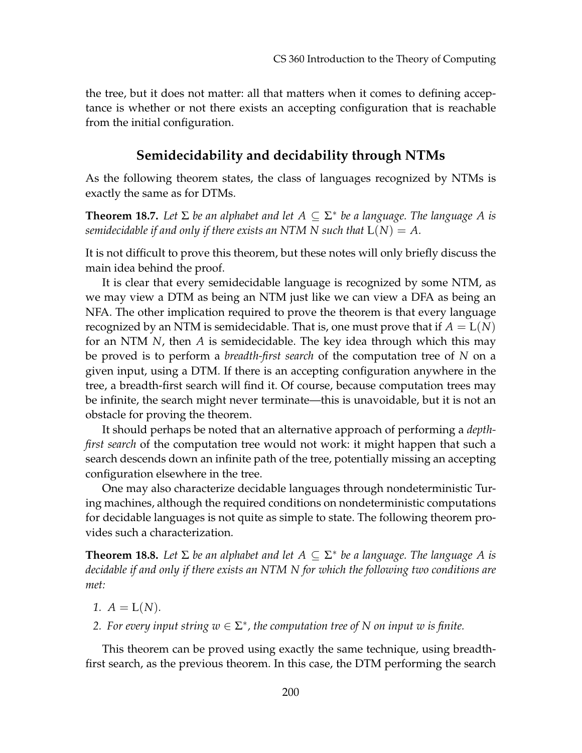the tree, but it does not matter: all that matters when it comes to defining acceptance is whether or not there exists an accepting configuration that is reachable from the initial configuration.

### **Semidecidability and decidability through NTMs**

As the following theorem states, the class of languages recognized by NTMs is exactly the same as for DTMs.

**Theorem 18.7.** Let  $\Sigma$  be an alphabet and let  $A \subseteq \Sigma^*$  be a language. The language A is *semidecidable if and only if there exists an NTM N such that*  $L(N) = A$ .

It is not difficult to prove this theorem, but these notes will only briefly discuss the main idea behind the proof.

It is clear that every semidecidable language is recognized by some NTM, as we may view a DTM as being an NTM just like we can view a DFA as being an NFA. The other implication required to prove the theorem is that every language recognized by an NTM is semidecidable. That is, one must prove that if  $A = L(N)$ for an NTM *N*, then *A* is semidecidable. The key idea through which this may be proved is to perform a *breadth-first search* of the computation tree of *N* on a given input, using a DTM. If there is an accepting configuration anywhere in the tree, a breadth-first search will find it. Of course, because computation trees may be infinite, the search might never terminate—this is unavoidable, but it is not an obstacle for proving the theorem.

It should perhaps be noted that an alternative approach of performing a *depthfirst search* of the computation tree would not work: it might happen that such a search descends down an infinite path of the tree, potentially missing an accepting configuration elsewhere in the tree.

One may also characterize decidable languages through nondeterministic Turing machines, although the required conditions on nondeterministic computations for decidable languages is not quite as simple to state. The following theorem provides such a characterization.

**Theorem 18.8.** Let  $\Sigma$  be an alphabet and let  $A \subseteq \Sigma^*$  be a language. The language A is *decidable if and only if there exists an NTM N for which the following two conditions are met:*

- *1.*  $A = L(N)$ .
- 2. For every input string  $w \in \Sigma^*$ , the computation tree of N on input w is finite.

This theorem can be proved using exactly the same technique, using breadthfirst search, as the previous theorem. In this case, the DTM performing the search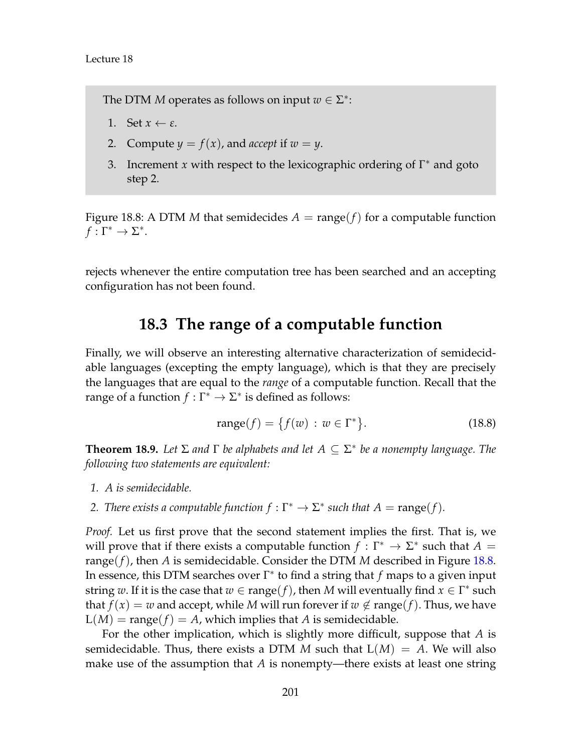- 1. Set  $x \leftarrow \varepsilon$ .
- 2. Compute  $y = f(x)$ , and *accept* if  $w = y$ .
- 3. Increment *x* with respect to the lexicographic ordering of  $\Gamma^*$  and goto step 2.

<span id="page-8-0"></span>Figure 18.8: A DTM *M* that semidecides  $A = \text{range}(f)$  for a computable function  $f:\Gamma^*\to\Sigma^*.$ 

rejects whenever the entire computation tree has been searched and an accepting configuration has not been found.

# **18.3 The range of a computable function**

Finally, we will observe an interesting alternative characterization of semidecidable languages (excepting the empty language), which is that they are precisely the languages that are equal to the *range* of a computable function. Recall that the range of a function  $f : \Gamma^* \to \Sigma^*$  is defined as follows:

$$
range(f) = \{f(w) : w \in \Gamma^*\}.
$$
\n(18.8)

<span id="page-8-1"></span>**Theorem 18.9.** *Let* Σ *and* Γ *be alphabets and let A* ⊆ Σ ∗ *be a nonempty language. The following two statements are equivalent:*

- *1. A is semidecidable.*
- *2. There exists a computable function*  $f : \Gamma^* \to \Sigma^*$  *such that*  $A = \text{range}(f)$ *.*

*Proof.* Let us first prove that the second statement implies the first. That is, we will prove that if there exists a computable function  $f : \Gamma^* \to \Sigma^*$  such that  $A =$ range(*f*), then *A* is semidecidable. Consider the DTM *M* described in Figure [18.8.](#page-8-0) In essence, this DTM searches over Γ ∗ to find a string that *f* maps to a given input string w. If it is the case that  $w \in \text{range}(f)$ , then M will eventually find  $x \in \Gamma^*$  such that  $f(x) = w$  and accept, while *M* will run forever if  $w \notin \text{range}(f)$ . Thus, we have  $L(M) = \text{range}(f) = A$ , which implies that A is semidecidable.

For the other implication, which is slightly more difficult, suppose that *A* is semidecidable. Thus, there exists a DTM M such that  $L(M) = A$ . We will also make use of the assumption that *A* is nonempty—there exists at least one string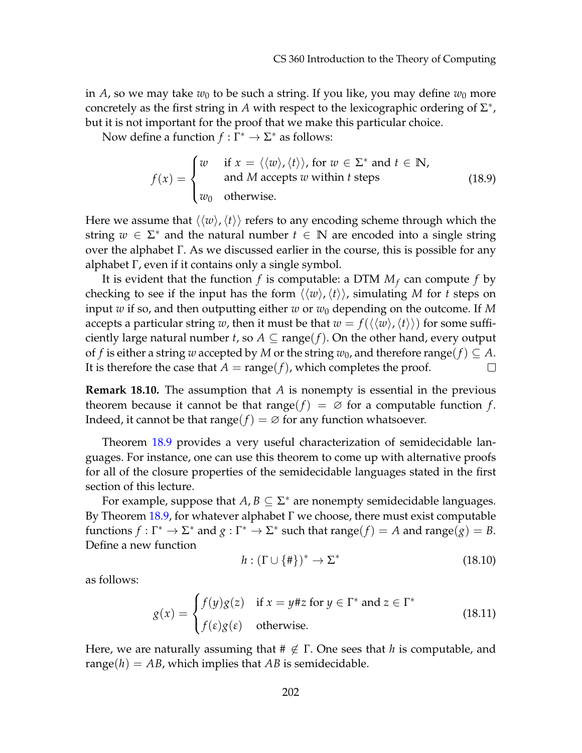in *A*, so we may take  $w_0$  to be such a string. If you like, you may define  $w_0$  more concretely as the first string in *A* with respect to the lexicographic ordering of  $\Sigma^*$ , but it is not important for the proof that we make this particular choice.

Now define a function  $f : \Gamma^* \to \Sigma^*$  as follows:

$$
f(x) = \begin{cases} w & \text{if } x = \langle \langle w \rangle, \langle t \rangle \rangle, \text{ for } w \in \Sigma^* \text{ and } t \in \mathbb{N}, \\ \text{and } M \text{ accepts } w \text{ within } t \text{ steps} \\ w_0 & \text{otherwise.} \end{cases}
$$
(18.9)

Here we assume that  $\langle\langle w\rangle, \langle t\rangle\rangle$  refers to any encoding scheme through which the string  $w \in \Sigma^*$  and the natural number  $t \in \mathbb{N}$  are encoded into a single string over the alphabet Γ. As we discussed earlier in the course, this is possible for any alphabet Γ, even if it contains only a single symbol.

It is evident that the function  $f$  is computable: a DTM  $M_f$  can compute  $f$  by checking to see if the input has the form  $\langle \langle w \rangle, \langle t \rangle \rangle$ , simulating *M* for *t* steps on input *w* if so, and then outputting either *w* or  $w_0$  depending on the outcome. If M accepts a particular string *w*, then it must be that  $w = f(\langle\langle w\rangle, \langle t\rangle\rangle)$  for some sufficiently large natural number *t*, so  $A \subseteq \text{range}(f)$ . On the other hand, every output of *f* is either a string *w* accepted by *M* or the string  $w_0$ , and therefore range(*f*)  $\subseteq A$ . It is therefore the case that  $A = \text{range}(f)$ , which completes the proof.  $\Box$ 

**Remark 18.10.** The assumption that *A* is nonempty is essential in the previous theorem because it cannot be that range( $f$ ) =  $\varnothing$  for a computable function  $f$ . Indeed, it cannot be that range( $f$ ) =  $\varnothing$  for any function whatsoever.

Theorem [18.9](#page-8-1) provides a very useful characterization of semidecidable languages. For instance, one can use this theorem to come up with alternative proofs for all of the closure properties of the semidecidable languages stated in the first section of this lecture.

For example, suppose that  $A, B \subseteq \Sigma^*$  are nonempty semidecidable languages. By Theorem [18.9,](#page-8-1) for whatever alphabet Γ we choose, there must exist computable functions  $f: \Gamma^* \to \Sigma^*$  and  $g: \Gamma^* \to \Sigma^*$  such that range( $f$ ) = *A* and range( $g$ ) = *B*. Define a new function

$$
h: (\Gamma \cup \{\# \})^* \to \Sigma^* \tag{18.10}
$$

as follows:

$$
g(x) = \begin{cases} f(y)g(z) & \text{if } x = y \# z \text{ for } y \in \Gamma^* \text{ and } z \in \Gamma^* \\ f(\varepsilon)g(\varepsilon) & \text{otherwise.} \end{cases}
$$
(18.11)

Here, we are naturally assuming that  $\#\notin \Gamma$ . One sees that *h* is computable, and range( $h$ ) =  $AB$ , which implies that  $AB$  is semidecidable.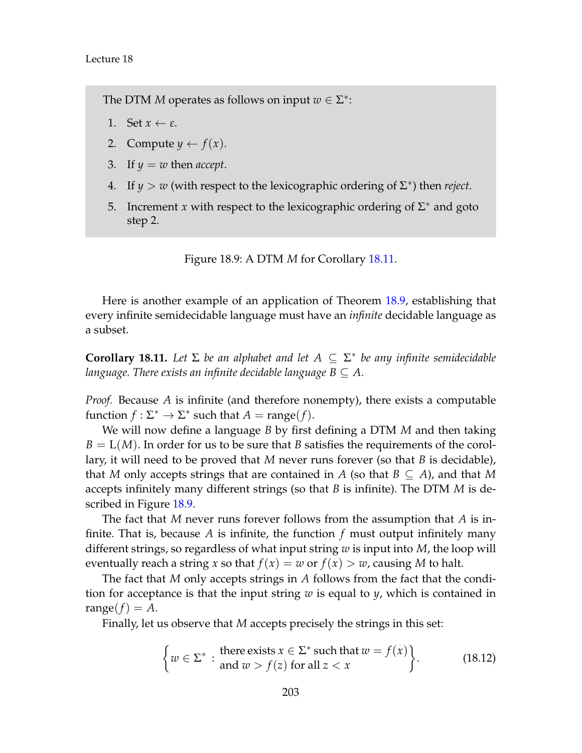- 1. Set  $x \leftarrow \varepsilon$ .
- 2. Compute  $y \leftarrow f(x)$ .
- 3. If  $y = w$  then *accept*.
- 4. If  $y > w$  (with respect to the lexicographic ordering of  $\Sigma^*$ ) then *reject*.
- 5. Increment *x* with respect to the lexicographic ordering of  $\Sigma^*$  and goto step 2.

<span id="page-10-1"></span>Figure 18.9: A DTM *M* for Corollary [18.11.](#page-10-0)

Here is another example of an application of Theorem [18.9,](#page-8-1) establishing that every infinite semidecidable language must have an *infinite* decidable language as a subset.

<span id="page-10-0"></span>**Corollary 18.11.** Let  $\Sigma$  be an alphabet and let  $A \subseteq \Sigma^*$  be any infinite semidecidable *language. There exists an infinite decidable language B*  $\subseteq$  *A.* 

*Proof.* Because *A* is infinite (and therefore nonempty), there exists a computable function  $f : \Sigma^* \to \Sigma^*$  such that  $A = \text{range}(f)$ .

We will now define a language *B* by first defining a DTM *M* and then taking  $B = L(M)$ . In order for us to be sure that *B* satisfies the requirements of the corollary, it will need to be proved that *M* never runs forever (so that *B* is decidable), that *M* only accepts strings that are contained in *A* (so that  $B \subseteq A$ ), and that *M* accepts infinitely many different strings (so that *B* is infinite). The DTM *M* is described in Figure [18.9.](#page-10-1)

The fact that *M* never runs forever follows from the assumption that *A* is infinite. That is, because *A* is infinite, the function *f* must output infinitely many different strings, so regardless of what input string *w* is input into *M*, the loop will eventually reach a string *x* so that  $f(x) = w$  or  $f(x) > w$ , causing M to halt.

The fact that *M* only accepts strings in *A* follows from the fact that the condition for acceptance is that the input string *w* is equal to *y*, which is contained in range( $f$ ) =  $A$ .

Finally, let us observe that *M* accepts precisely the strings in this set:

$$
\begin{cases} w \in \Sigma^* : \text{there exists } x \in \Sigma^* \text{ such that } w = f(x) \\ \text{and } w > f(z) \text{ for all } z < x \end{cases} \tag{18.12}
$$